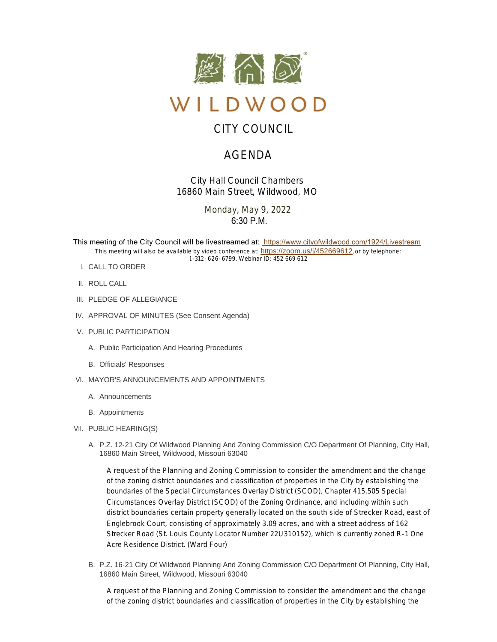

# CITY COUNCIL

# AGENDA

*City Hall Council Chambers 16860 Main Street, Wildwood, MO*

> Monday, May 9, 2022  $6:30$  P.M.

This meeting of the City Council will be livestreamed at: [https://www.cityofwildwood.com/1924/Livestream](https://www.cityofwildwood.com/Admin/AgendaCenter/Agenda/Edit/%20https://www.cityofwildwood.com/1924/Livestream) This meeting will also be available by video conference at: <https://zoom.us/j/452669612>, or by telephone: 1-312-626-6799, Webinar ID: 452 669 612

- CALL TO ORDER I.
- II. ROLL CALL
- III. PLEDGE OF ALLEGIANCE
- IV. APPROVAL OF MINUTES (See Consent Agenda)
- V. PUBLIC PARTICIPATION
	- A. Public Participation And Hearing Procedures
	- B. Officials' Responses
- VI. MAYOR'S ANNOUNCEMENTS AND APPOINTMENTS
	- A. Announcements
	- B. Appointments
- VII. PUBLIC HEARING(S)
	- A. P.Z. 12-21 City Of Wildwood Planning And Zoning Commission C/O Department Of Planning, City Hall, 16860 Main Street, Wildwood, Missouri 63040

A request of the Planning and Zoning Commission to consider the amendment and the change of the zoning district boundaries and classification of properties in the City by establishing the boundaries of the Special Circumstances Overlay District (SCOD), Chapter 415.505 Special Circumstances Overlay District (SCOD) of the Zoning Ordinance, and including within such district boundaries certain property generally located on the south side of Strecker Road, east of Englebrook Court, consisting of approximately 3.09 acres, and with a street address of 162 Strecker Road (St. Louis County Locator Number 22U310152), which is currently zoned R-1 One Acre Residence District. (Ward Four)

B. P.Z. 16-21 City Of Wildwood Planning And Zoning Commission C/O Department Of Planning, City Hall, 16860 Main Street, Wildwood, Missouri 63040

A request of the Planning and Zoning Commission to consider the amendment and the change of the zoning district boundaries and classification of properties in the City by establishing the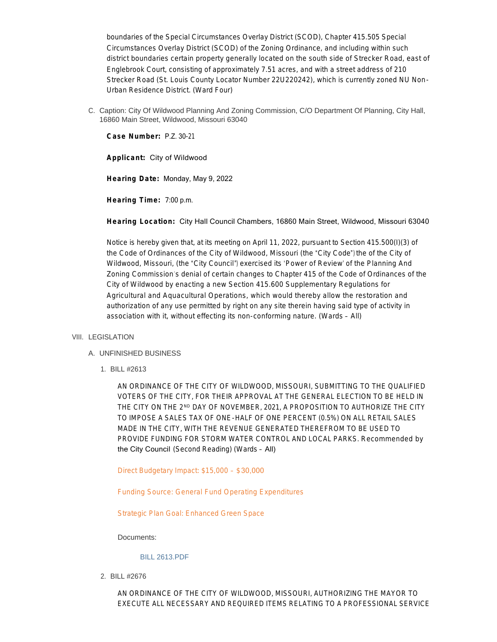boundaries of the Special Circumstances Overlay District (SCOD), Chapter 415.505 Special Circumstances Overlay District (SCOD) of the Zoning Ordinance, and including within such district boundaries certain property generally located on the south side of Strecker Road, east of Englebrook Court, consisting of approximately 7.51 acres, and with a street address of 210 Strecker Road (St. Louis County Locator Number 22U220242), which is currently zoned NU Non-Urban Residence District. (Ward Four)

C. Caption: City Of Wildwood Planning And Zoning Commission, C/O Department Of Planning, City Hall, 16860 Main Street, Wildwood, Missouri 63040

**Case Number:** P.Z. 30-21

**Applicant:** City of Wildwood

**Hearing Date:** Monday, May 9, 2022

**Hearing Time:** 7:00 p.m.

**Hearing Location:** City Hall Council Chambers, 16860 Main Street, Wildwood, Missouri 63040

Notice is hereby given that, at its meeting on April 11, 2022, pursuant to Section 415.500(I)(3) of the Code of Ordinances of the City of Wildwood, Missouri (the "City Code") the of the City of Wildwood, Missouri, (the "City Council") exercised its 'Power of Review' of the Planning And Zoning Commission's denial of certain changes to Chapter 415 of the Code of Ordinances of the City of Wildwood by enacting a new Section 415.600 Supplementary Regulations for Agricultural and Aquacultural Operations, which would thereby allow the restoration and authorization of any use permitted by right on any site therein having said type of activity in association with it, without effecting its non-conforming nature. (Wards – All)

# VIII. LEGISLATION

# UNFINISHED BUSINESS A.

BILL #2613 1.

AN ORDINANCE OF THE CITY OF WILDWOOD, MISSOURI, SUBMITTING TO THE QUALIFIED VOTERS OF THE CITY, FOR THEIR APPROVAL AT THE GENERAL ELECTION TO BE HELD IN THE CITY ON THE 2ND DAY OF NOVEMBER, 2021, A PROPOSITION TO AUTHORIZE THE CITY TO IMPOSE A SALES TAX OF ONE-HALF OF ONE PERCENT (0.5%) ON ALL RETAIL SALES MADE IN THE CITY, WITH THE REVENUE GENERATED THEREFROM TO BE USED TO PROVIDE FUNDING FOR STORM WATER CONTROL AND LOCAL PARKS. *Recommended by*  the City Council (Second Reading) (Wards – All)

Direct Budgetary Impact: \$15,000 – \$30,000

Funding Source: General Fund Operating Expenditures

Strategic Plan Goal: Enhanced Green Space

Documents:

## [BILL 2613.PDF](https://www.cityofwildwood.com/AgendaCenter/ViewFile/Item/32593?fileID=34482)

BILL #2676 2.

AN ORDINANCE OF THE CITY OF WILDWOOD, MISSOURI, AUTHORIZING THE MAYOR TO EXECUTE ALL NECESSARY AND REQUIRED ITEMS RELATING TO A PROFESSIONAL SERVICE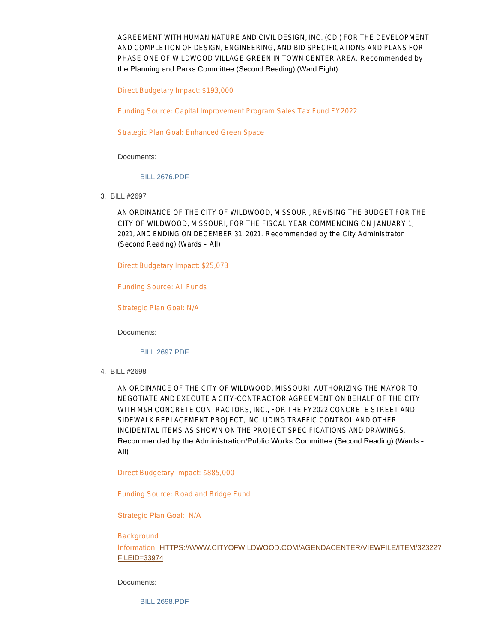AGREEMENT WITH HUMAN NATURE AND CIVIL DESIGN, INC. (CDI) FOR THE DEVELOPMENT AND COMPLETION OF DESIGN, ENGINEERING, AND BID SPECIFICATIONS AND PLANS FOR PHASE ONE OF WILDWOOD VILLAGE GREEN IN TOWN CENTER AREA. *Recommended by*  the Planning and Parks Committee (Second Reading) (Ward Eight)

Direct Budgetary Impact: \$193,000

Funding Source: Capital Improvement Program Sales Tax Fund FY2022

Strategic Plan Goal: Enhanced Green Space

Documents:

#### [BILL 2676.PDF](https://www.cityofwildwood.com/AgendaCenter/ViewFile/Item/32594?fileID=34483)

BILL #2697 3.

AN ORDINANCE OF THE CITY OF WILDWOOD, MISSOURI, REVISING THE BUDGET FOR THE CITY OF WILDWOOD, MISSOURI, FOR THE FISCAL YEAR COMMENCING ON JANUARY 1, 2021, AND ENDING ON DECEMBER 31, 2021. *Recommended by the City Administrator* (Second Reading) (Wards – All)

Direct Budgetary Impact: \$25,073

Funding Source: All Funds

Strategic Plan Goal: N/A

Documents:

[BILL 2697.PDF](https://www.cityofwildwood.com/AgendaCenter/ViewFile/Item/32595?fileID=34484)

BILL #2698 4.

AN ORDINANCE OF THE CITY OF WILDWOOD, MISSOURI, AUTHORIZING THE MAYOR TO NEGOTIATE AND EXECUTE A CITY-CONTRACTOR AGREEMENT ON BEHALF OF THE CITY WITH M&H CONCRETE CONTRACTORS, INC., FOR THE FY2022 CONCRETE STREET AND SIDEWALK REPLACEMENT PROJECT, INCLUDING TRAFFIC CONTROL AND OTHER INCIDENTAL ITEMS AS SHOWN ON THE PROJECT SPECIFICATIONS AND DRAWINGS. Recommended by the Administration/Public Works Committee (Second Reading) (Wards – All)

Direct Budgetary Impact: \$885,000

Funding Source: Road and Bridge Fund

Strategic Plan Goal: N/A

## **Background**

Information: [HTTPS://WWW.CITYOFWILDWOOD.COM/AGENDACENTER/VIEWFILE/ITEM/32322?](https://www.cityofwildwood.com/AgendaCenter/ViewFile/Item/32322?fileID=33974) FILEID=33974

Documents:

[BILL 2698.PDF](https://www.cityofwildwood.com/AgendaCenter/ViewFile/Item/32596?fileID=34485)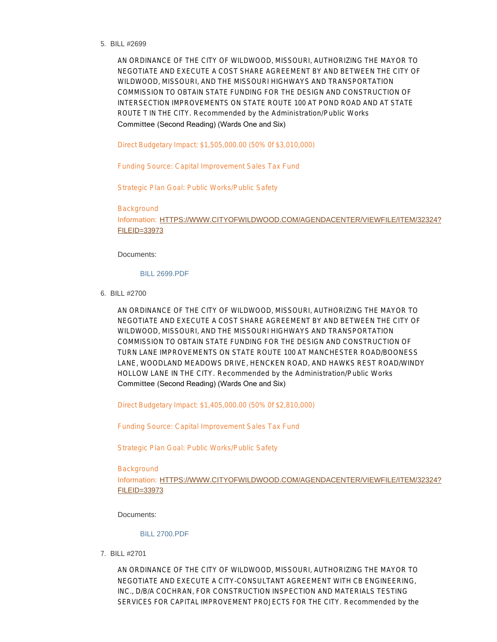BILL #2699 5.

AN ORDINANCE OF THE CITY OF WILDWOOD, MISSOURI, AUTHORIZING THE MAYOR TO NEGOTIATE AND EXECUTE A COST SHARE AGREEMENT BY AND BETWEEN THE CITY OF WILDWOOD, MISSOURI, AND THE MISSOURI HIGHWAYS AND TRANSPORTATION COMMISSION TO OBTAIN STATE FUNDING FOR THE DESIGN AND CONSTRUCTION OF INTERSECTION IMPROVEMENTS ON STATE ROUTE 100 AT POND ROAD AND AT STATE ROUTE T IN THE CITY. *Recommended by the Administration/Public Works*  Committee (Second Reading) (Wards One and Six)

Direct Budgetary Impact: \$1,505,000.00 (50% 0f \$3,010,000)

Funding Source: Capital Improvement Sales Tax Fund

Strategic Plan Goal: Public Works/Public Safety

Background

Information: [HTTPS://WWW.CITYOFWILDWOOD.COM/AGENDACENTER/VIEWFILE/ITEM/32324?](https://www.cityofwildwood.com/AgendaCenter/ViewFile/Item/32324?fileID=33973) FILEID=33973

Documents:

## [BILL 2699.PDF](https://www.cityofwildwood.com/AgendaCenter/ViewFile/Item/32597?fileID=34486)

BILL #2700 6.

AN ORDINANCE OF THE CITY OF WILDWOOD, MISSOURI, AUTHORIZING THE MAYOR TO NEGOTIATE AND EXECUTE A COST SHARE AGREEMENT BY AND BETWEEN THE CITY OF WILDWOOD, MISSOURI, AND THE MISSOURI HIGHWAYS AND TRANSPORTATION COMMISSION TO OBTAIN STATE FUNDING FOR THE DESIGN AND CONSTRUCTION OF TURN LANE IMPROVEMENTS ON STATE ROUTE 100 AT MANCHESTER ROAD/BOONESS LANE, WOODLAND MEADOWS DRIVE, HENCKEN ROAD, AND HAWKS REST ROAD/WINDY HOLLOW LANE IN THE CITY. *Recommended by the Administration/Public Works*  Committee (Second Reading) (Wards One and Six)

Direct Budgetary Impact: \$1,405,000.00 (50% 0f \$2,810,000)

Funding Source: Capital Improvement Sales Tax Fund

Strategic Plan Goal: Public Works/Public Safety

**Background** 

Information: [HTTPS://WWW.CITYOFWILDWOOD.COM/AGENDACENTER/VIEWFILE/ITEM/32324?](https://www.cityofwildwood.com/AgendaCenter/ViewFile/Item/32324?fileID=33973) FILEID=33973

Documents:

# [BILL 2700.PDF](https://www.cityofwildwood.com/AgendaCenter/ViewFile/Item/32598?fileID=34487)

BILL #2701 7.

AN ORDINANCE OF THE CITY OF WILDWOOD, MISSOURI, AUTHORIZING THE MAYOR TO NEGOTIATE AND EXECUTE A CITY-CONSULTANT AGREEMENT WITH CB ENGINEERING, INC., D/B/A COCHRAN, FOR CONSTRUCTION INSPECTION AND MATERIALS TESTING SERVICES FOR CAPITAL IMPROVEMENT PROJECTS FOR THE CITY. *Recommended by the*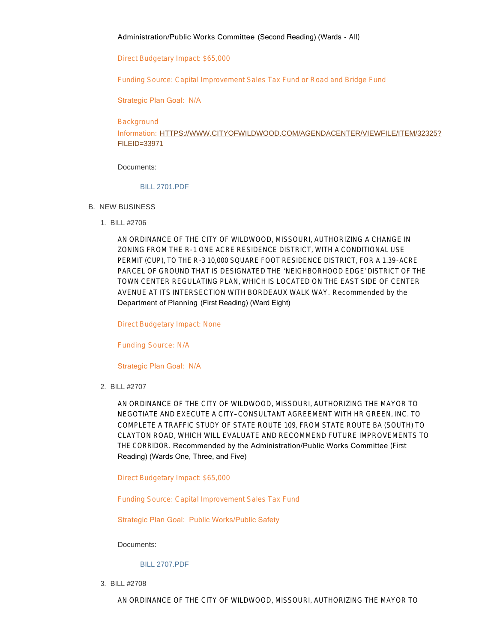# Administration/Public Works Committee (Second Reading) (Wards - All)

Direct Budgetary Impact: \$65,000

Funding Source: Capital Improvement Sales Tax Fund or Road and Bridge Fund

Strategic Plan Goal: N/A

**Background** 

Information: [HTTPS://WWW.CITYOFWILDWOOD.COM/AGENDACENTER/VIEWFILE/ITEM/32325?](https://www.cityofwildwood.com/AgendaCenter/ViewFile/Item/32325?fileID=33971) FILEID=33971

Documents:

# [BILL 2701.PDF](https://www.cityofwildwood.com/AgendaCenter/ViewFile/Item/32599?fileID=34488)

- B. NEW BUSINESS
	- BILL #2706 1.

AN ORDINANCE OF THE CITY OF WILDWOOD, MISSOURI, AUTHORIZING A CHANGE IN ZONING FROM THE R-1 ONE ACRE RESIDENCE DISTRICT, WITH A CONDITIONAL USE PERMIT (CUP), TO THE R-3 10,000 SQUARE FOOT RESIDENCE DISTRICT, FOR A 1.39-ACRE PARCEL OF GROUND THAT IS DESIGNATED THE 'NEIGHBORHOOD EDGE' DISTRICT OF THE TOWN CENTER REGULATING PLAN, WHICH IS LOCATED ON THE EAST SIDE OF CENTER AVENUE AT ITS INTERSECTION WITH BORDEAUX WALK WAY. *Recommended by the*  Department of Planning (First Reading) (Ward Eight)

Direct Budgetary Impact: None

Funding Source: N/A

Strategic Plan Goal: N/A

BILL #2707 2.

AN ORDINANCE OF THE CITY OF WILDWOOD, MISSOURI, AUTHORIZING THE MAYOR TO NEGOTIATE AND EXECUTE A CITY– CONSULTANT AGREEMENT WITH HR GREEN, INC. TO COMPLETE A TRAFFIC STUDY OF STATE ROUTE 109, FROM STATE ROUTE BA (SOUTH) TO CLAYTON ROAD, WHICH WILL EVALUATE AND RECOMMEND FUTURE IMPROVEMENTS TO THE CORRIDOR. Recommended by the Administration/Public Works Committee (First Reading) (Wards One, Three, and Five)

Direct Budgetary Impact: \$65,000

Funding Source: Capital Improvement Sales Tax Fund

Strategic Plan Goal: Public Works/Public Safety

Documents:

[BILL 2707.PDF](https://www.cityofwildwood.com/AgendaCenter/ViewFile/Item/32601?fileID=34601)

BILL #2708 3.

AN ORDINANCE OF THE CITY OF WILDWOOD, MISSOURI, AUTHORIZING THE MAYOR TO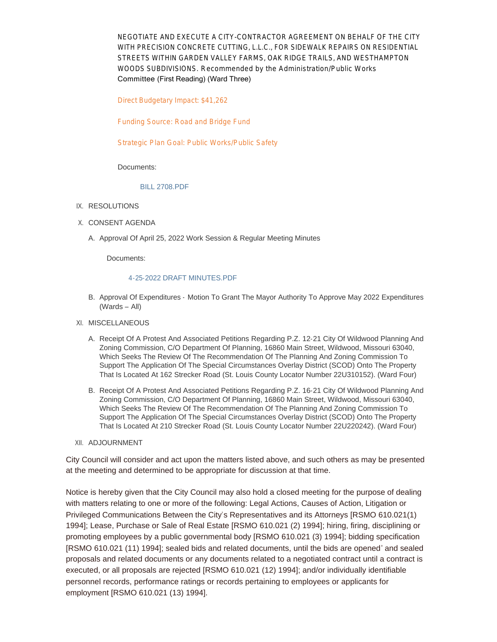NEGOTIATE AND EXECUTE A CITY-CONTRACTOR AGREEMENT ON BEHALF OF THE CITY WITH PRECISION CONCRETE CUTTING, L.L.C., FOR SIDEWALK REPAIRS ON RESIDENTIAL STREETS WITHIN GARDEN VALLEY FARMS, OAK RIDGE TRAILS, AND WESTHAMPTON WOODS SUBDIVISIONS. *Recommended by the Administration/Public Works*  Committee (First Reading) (Ward Three)

Direct Budgetary Impact: \$41,262

Funding Source: Road and Bridge Fund

Strategic Plan Goal: Public Works/Public Safety

Documents:

## [BILL 2708.PDF](https://www.cityofwildwood.com/AgendaCenter/ViewFile/Item/32602?fileID=34602)

#### IX. RESOLUTIONS

- X. CONSENT AGENDA
	- A. Approval Of April 25, 2022 Work Session & Regular Meeting Minutes

Documents:

#### [4-25-2022 DRAFT MINUTES.PDF](https://www.cityofwildwood.com/AgendaCenter/ViewFile/Item/32589?fileID=34481)

B. Approval Of Expenditures - Motion To Grant The Mayor Authority To Approve May 2022 Expenditures (Wards – All)

### XI. MISCELLANEOUS

- A. Receipt Of A Protest And Associated Petitions Regarding P.Z. 12-21 City Of Wildwood Planning And Zoning Commission, C/O Department Of Planning, 16860 Main Street, Wildwood, Missouri 63040, Which Seeks The Review Of The Recommendation Of The Planning And Zoning Commission To Support The Application Of The Special Circumstances Overlay District (SCOD) Onto The Property That Is Located At 162 Strecker Road (St. Louis County Locator Number 22U310152). (Ward Four)
- B. Receipt Of A Protest And Associated Petitions Regarding P.Z. 16-21 City Of Wildwood Planning And Zoning Commission, C/O Department Of Planning, 16860 Main Street, Wildwood, Missouri 63040, Which Seeks The Review Of The Recommendation Of The Planning And Zoning Commission To Support The Application Of The Special Circumstances Overlay District (SCOD) Onto The Property That Is Located At 210 Strecker Road (St. Louis County Locator Number 22U220242). (Ward Four)
- XII. ADJOURNMENT

City Council will consider and act upon the matters listed above, and such others as may be presented at the meeting and determined to be appropriate for discussion at that time.

Notice is hereby given that the City Council may also hold a closed meeting for the purpose of dealing with matters relating to one or more of the following: Legal Actions, Causes of Action, Litigation or Privileged Communications Between the City's Representatives and its Attorneys [RSMO 610.021(1) 1994]; Lease, Purchase or Sale of Real Estate [RSMO 610.021 (2) 1994]; hiring, firing, disciplining or promoting employees by a public governmental body [RSMO 610.021 (3) 1994]; bidding specification [RSMO 610.021 (11) 1994]; sealed bids and related documents, until the bids are opened' and sealed proposals and related documents or any documents related to a negotiated contract until a contract is executed, or all proposals are rejected [RSMO 610.021 (12) 1994]; and/or individually identifiable personnel records, performance ratings or records pertaining to employees or applicants for employment [RSMO 610.021 (13) 1994].